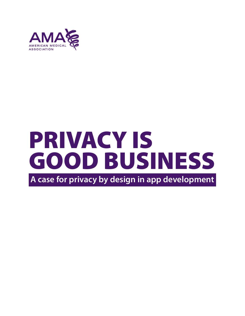

# PRIVACY IS GOOD BUSINESS

**A case for privacy by design in app development**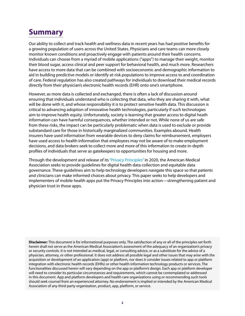# **Summary**

Our ability to collect and track health and wellness data in recent years has had positive benefits for a growing population of users across the United States. Physicians and care teams can more closely monitor known conditions and proactively engage with patients around their health concerns. Individuals can choose from a myriad of mobile applications ("apps") to manage their weight, monitor their blood sugar, access clinical and peer support for behavioral health, and much more. Researchers have access to more data that can be combined with socioeconomic and demographic information to aid in building predictive models or identify at-risk populations to improve access to and coordination of care. Federal regulation has also created pathways for individuals to download their medical records directly from their physician's electronic health records (EHR) onto one's smartphone.

However, as more data is collected and exchanged, there is often a lack of discussion around ensuring that individuals understand who is collecting that data, who they are sharing it with, what will be done with it, and whose responsibility it is to protect sensitive health data. This discussion is critical to advancing adoption of innovative health technologies, particularly if such technologies aim to improve health equity. Unfortunately, society is learning that greater access to digital heath information can have harmful consequences, whether intended or not. While none of us are safe from these risks, the impact can be particularly problematic when data is used to exclude or provide substandard care for those in historically marginalized communities. Examples abound. Health insurers have used information from wearable devices to deny claims for reimbursement, employers have used access to health information that employees may not be aware of to make employment decisions, and data brokers seek to collect more and more of this information to create in-depth profiles of individuals that serve as gatekeepers to opportunities for housing and more.

Through the development and release of its ["Privacy Principles"](https://www.ama-assn.org/system/files/2020-05/privacy-principles.pdf) in 2020, the American Medical Association seeks to provide guidelines for digital health data collection and equitable data governance. These guidelines aim to help technology developers navigate this space so that patients and clinicians can make informed choices about privacy. This paper seeks to help developers and implementers of mobile health apps put the Privacy Principles into action—strengthening patient and physician trust in those apps.

**Disclaimer:** This document is for informational purposes only. The satisfaction of any or all of the principles set forth herein shall not serve as the American Medical Association's assessment of the adequacy of an organization's privacy or security controls. It is not intended as medical, legal, or consulting advice, or as a substitute for the advice of a physician, attorney, or other professional. It does not address all possible legal and other issues that may arise with the acquisition or development of an application (app) or platform, nor does it consider issues related to app or platform integration with electronic health records (EHRs) or other health information technology products or services. The functionalities discussed herein will vary depending on the app or platform's design. Each app or platform developer will need to consider its particular circumstances and requirements, which cannot be contemplated or addressed in this document. App and platform developers and health care organizations using or recommending such tools should seek counsel from an experienced attorney. No endorsement is implied or intended by the American Medical Association of any third-party organization, product, app, platform, or service.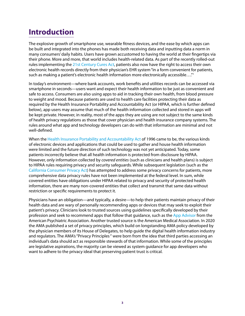# **Introduction**

The explosive growth of smartphone use, wearable fitness devices, and the ease by which apps can be built and integrated into the phones has made both receiving data and inputting data a norm in many consumers' daily habits. Users have grown accustomed to having the world at their fingertips via their phone. More and more, that world includes health-related data. As part of the recently rolled-out rules implementing the [21st Century Cures Act,](https://www.federalregister.gov/documents/2020/05/01/2020-07419/21st-century-cures-act-interoperability-information-blocking-and-the-onc-health-it-certification) patients also now have the right to access their own electronic health records directly from their physician's EHR system "in a form convenient for patients, such as making a patient's electronic health information more electronically accessible…."[1](#page-14-0)

In today's environment—where bank accounts, work benefits and utilities records can be accessed via smartphone in seconds—users want and expect their health information to be just as convenient and safe to access. Consumers are also using apps to aid in tracking their own health, from blood pressure to weight and mood. Because patients are used to health care facilities protecting their data as required by the Health Insurance Portability and Accountability Act (or HIPAA, which is further defined below), app users may assume that much of the health information collected and stored in apps will be kept private. However, in reality, most of the apps they are using are not subject to the same kinds of health privacy regulations as those that cover physician and health insurance company systems. The rules around what app and technology developers can do with that information are minimal and not well-defined.

When the [Health Insurance Portability and Accountability Act](https://www.cdc.gov/phlp/publications/topic/hipaa.html) of 1996 came to be, the various kinds of electronic devices and applications that could be used to gather and house health information were limited and the future direction of such technology was not yet anticipated. Today, some patients incorrectly believe that all health information is protected from disclosure by HIPAA. However, only information collected by *covered entities* (such as clinicians and health plans) is subject to HIPAA rules requiring privacy and security safeguards. While subsequent legislation (such as the [California Consumer Privacy Act\)](https://oag.ca.gov/privacy/ccpa) has attempted to address some privacy concerns for patients, more comprehensive data privacy rules have not been implemented at the federal level. In sum, while covered entities have obligations under HIPAA related to privacy and security of protected health information, there are many non-covered entities that collect and transmit that same data without restriction or specific requirements to protect it.

Physicians have an obligation—and typically, a desire—to help their patients maintain privacy of their health data and are wary of personally recommending apps or devices that may seek to exploit their patient's privacy. Clinicians look to trusted sources using guidelines specifically developed by their profession and seek to recommend apps that follow that guidance, such as the [App Advisor](https://www.psychiatry.org/psychiatrists/practice/mental-health-apps) from the American Psychiatric Association. Another trusted source is the American Medical Association. In 2020 the AMA published a set of privacy principles, which build on longstanding AMA policy developed by the physician members of its House of Delegates, to help guide the digital health information industry and regulators. The AMA's "Privacy Principles " were born from the idea that third parties accessing an individual's data should act as responsible stewards of that information. While some of the principles are legislative aspirations, the majority can be viewed as system guidance for app developers who want to adhere to the privacy ideal that preserving patient trust is critical.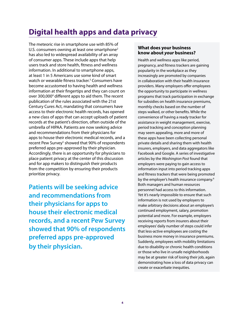# **Digital health apps and data privacy**

The meteoric rise in smartphone use with 85% of U.S. consumers owning at least one smartphone<sup>2</sup> has also led to widespread availability of an array of consumer apps. These include apps that help users track and store health, fitness and wellness information. In additional to smartphone apps, at least 1 in 5 Americans use some kind of smart watch or wearable fitness tracker.<sup>[3](#page-14-0)</sup> Consumers have become accustomed to having health and wellness information at their fingertips and they can count on over 300,000<sup>[4](#page-14-0)</sup> different apps to aid them. The recent publication of the rules associated with the 21st Century Cures Act, mandating that consumers have access to their electronic health records, has opened a new class of apps that can accept uploads of patient records at the patient's direction, often outside of the umbrella of HIPAA. Patients are now seeking advice and recommendations from their physicians for apps to house their electronic medical records, and a recent Pew Survey<sup>5</sup> showed that 90% of respondents preferred apps pre-approved by their physician. Accordingly, there is an opportunity for physicians to place patient privacy at the center of this discussion and for app makers to distinguish their products from the competition by ensuring their products prioritize privacy.

**Patients will be seeking advice and recommendations from their physicians for apps to house their electronic medical records, and a recent Pew Survey showed that 90% of respondents preferred apps pre-approved by their physician.** 

#### **What does your business know about** *your* **business?**

Health and wellness apps like period, pregnancy, and fitness trackers are gaining popularity in the workplace as they increasingly are promoted by companies in collaboration with their health insurance providers. Many employers offer employees the opportunity to participate in wellness programs that track participation in exchange for subsidies on health insurance premiums, monthly checks based on the number of steps walked, or other benefits. While the convenience of having a ready tracker for assistance in weight management, exercise, period tracking and conception planning may seem appealing, more and more of these apps have been collecting personal private details and sharing them with health insurers, employers, and data aggregators like Facebook and Google. A series of investigative articles by the *Washington Post* found that employers were paying to gain access to information input into period tracking apps and fitness trackers that were being promoted by the employer's health insurance company.<sup>6</sup> Both managers and human resources personnel had access to this information. Yet it's nearly impossible to ensure that such information is not used by employers to make arbitrary decisions about an employee's continued employment, salary, promotion potential and more. For example, employers receiving reports from insurers about their employees' daily number of steps could infer that less-active employees are costing the business more money in insurance premiums. Suddenly, employees with mobility limitations due to disability or chronic health conditions or those who live in unsafe neighborhoods may be at greater risk of losing their job, again demonstrating how a loss of data privacy can create or exacerbate inequities.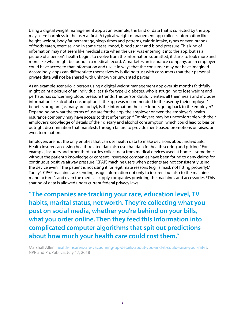Using a digital weight management app as an example, the kind of data that is collected by the app may seem harmless to the user at first. A typical weight management app collects information like height, weight, body fat percentage, sleep times and patterns, caloric intake, types or even brands of foods eaten, exercise, and in some cases, mood, blood sugar and blood pressure. This kind of information may not seem like medical data when the user was entering it into the app, but as a picture of a person's health begins to evolve from the information submitted, it starts to look more and more like what might be found in a medical record. A marketer, an insurance company, or an employer could have access to that information and use it in ways that the consumer may not have imagined. Accordingly, apps can differentiate themselves by building trust with consumers that their personal private data will not be shared with unknown or unwanted parties.

As an example scenario, a person using a digital weight management app over six months faithfully might paint a picture of an individual at risk for type-2 diabetes, who is struggling to lose weight and perhaps has concerning blood pressure trends. This person dutifully enters all their meals and includes information like alcohol consumption. If the app was recommended to the user by their employer's benefits program (as many are today), is the information the user inputs going back to the employer? Depending on what the terms of use are for the app, the employer or even the employer's health insurance company may have access to that information.<sup>6</sup> Employees may be uncomfortable with their employer's knowledge of details of their dietary and alcohol consumption, which could lead to bias or outright discrimination that manifests through failure to provide merit-based promotions or raises, or even termination.

Employers are not the only entities that can use health data to make decisions about individuals. Health insurers accessing health-related data also use that data for health scoring and pricing.<sup>[7](#page-14-0)</sup> For example, insurers and other third parties collect data from medical devices used at home—sometimes without the patient's knowledge or consent. Insurance companies have been found to deny claims for continuous positive airway pressure (CPAP) machine users when patients are not consistently using the device even if the patient is not using it for legitimate reasons (e.g., a mask not fitting properly).<sup>8</sup> Today's CPAP machines are sending usage information not only to insurers but also to the machine manufacturer's and even the medical supply companies providing the machines and accessories.<sup>8</sup> This sharing of data is allowed under current federal privacy laws.

**"The companies are tracking your race, education level, TV habits, marital status, net worth. They're collecting what you post on social media, whether you're behind on your bills, what you order online. Then they feed this information into complicated computer algorithms that spit out predictions about how much your health care could cost them."**

Marshall Allen, [health-insurers-are-vacuuming-up-details-about-you-and-it-could-raise-your-rates,](https://www.npr.org/sections/health-shots/2018/07/17/629441555/health-insurers-are-vacuuming-up-details-about-you-and-it-could-raise-your-rates) NPR and ProPublica, July 17, 2018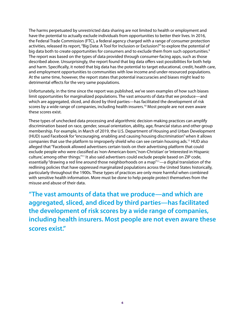The harms perpetuated by unrestricted data sharing are not limited to health or employment and have the potential to actually exclude individuals from opportunities to better their lives. In 2016, the Federal Trade Commission (FTC), a federal agency charged with a range of consumer protection activities, released its report, "Big Data: A Tool for Inclusion or Exclusion?" to explore the potential of big data both to create opportunities for consumers and to exclude them from such opportunities.<sup>9</sup> The report was based on the types of data provided through consumer-facing apps, such as those described above. Unsurprisingly, the report found that big data offers vast possibilities for both help and harm. Specifically, it noted that big data has the potential to target educational, credit, health care, and employment opportunities to communities with low income and under-resourced populations. At the same time, however, the report states that potential inaccuracies and biases might lead to detrimental effects for the very same populations.

Unfortunately, in the time since the report was published, we've seen examples of how such biases limit opportunities for marginalized populations. The vast amounts of data that we produce—and which are aggregated, sliced, and diced by third parties—has facilitated the development of risk scores by a wide range of companies, including health insurers.<sup>10</sup> Most people are not even aware these scores exist.

These types of unchecked data processing and algorithmic decision-making practices can amplify discrimination based on race, gender, sexual orientation, ability, age, financial status and other group membership. For example, in March of 2019, the U.S. Department of Housing and Urban Development (HUD) sued Facebook for "encouraging, enabling and causing housing discrimination" when it allows companies that use the platform to improperly shield who can see certain housing ads.11 HUD also alleged that "Facebook allowed advertisers certain tools on their advertising platform that could exclude people who were classified as 'non-American-born,' 'non-Christian' or 'interested in Hispanic culture,' among other things."11 It also said advertisers could exclude people based on ZIP code, essentially "drawing a red line around those neighborhoods on a map"<sup>11</sup>—a digital translation of the redlining policies that have oppressed marginalized populations across the United States historically, particularly throughout the 1900s. These types of practices are only more harmful when combined with sensitive health information. More must be done to help people protect themselves from the misuse and abuse of their data.

**"The vast amounts of data that we produce—and which are aggregated, sliced, and diced by third parties—has facilitated the development of risk scores by a wide range of companies, including health insurers. Most people are not even aware these scores exist."**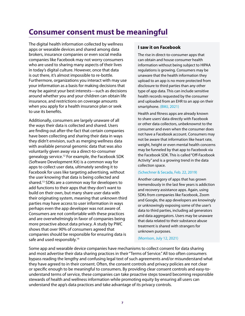## **Consumer consent must be meaningful**

The digital health information collected by wellness apps or wearable devices and shared among data brokers, insurance companies or even social media companies like Facebook may not worry consumers who are used to sharing many aspects of their lives in today's digital culture. However, once that data is out there, it's almost impossible to re-bottle. Furthermore, organizations you interact with may use your information as a basis for making decisions that may be against your best interests—such as decisions around whether you and your children can obtain life insurance, and restrictions on coverage amounts when you apply for a health insurance plan or seek to use its benefits.

Additionally, consumers are largely unaware of all the ways their data is collected and shared. Users are finding out after-the-fact that certain companies have been collecting and sharing their data in ways they didn't envision, such as merging wellness data with available personal genomic data that was also voluntarily given away via a direct-to-consumer genealogy service.[1](#page-14-0)2 For example, the Facebook SDK (Software Development Kit) is a common way for apps to collect user data, ultimately sending it to Facebook for uses like targeting advertising, without the user knowing that data is being collected and shared[.1](#page-14-0)3 SDKs are a common way for developers to add functions to their apps that they don't want to build on their own, but many share user data with their originating system, meaning that unknown third parties may have access to user information in ways perhaps even the app developer was not aware of. Consumers are not comfortable with these practices and are overwhelmingly in favor of companies being more proactive about data privacy. A study by PWC shows that over 90% of consumers agreed that companies should be responsible for ensuring data is safe and used responsibly.<sup>14</sup>

#### **I saw it on Facebook**

The rise in direct-to-consumer apps that can obtain and house consumer health information without being subject to HIPAA regulations is growing. Consumers may be unaware that the health information they upload to an app is no more protected from disclosure to third parties than any other type of app data. This can include sensitive health records requested by the consumer and uploaded from an EHR to an app on their smartphone. [\(BMJ, 2021\)](https://www.bmj.com/content/373/bmj.n1248)

Health and fitness apps are already known to share users' data directly with Facebook or other data collectors, unbeknownst to the consumer and even when the consumer does not have a Facebook account. Consumers may not be aware that information like heart rate, weight, height or even mental health concerns may be funneled by that app to Facebook via the Facebook SDK. This is called "Off-Facebook Activity" and is a growing trend in the data collection space.

#### [\(Schechner & Secada, Feb. 22, 2019\)](https://www.wsj.com/articles/you-give-apps-sensitive-personal-information-then-they-tell-facebook-11550851636)

Another category of apps that has grown tremendously in the last few years is addiction and recovery assistance apps. Again, using SDKs from companies like Facebook, Zoom and Google, the app developers are knowingly or unknowingly exposing some of the user's data to third parties, including ad generators and data aggregators. Users may be unaware that data related to their substance abuse treatment is shared with strangers for unknown purposes.

#### [\(Morrison, July 12, 2021\)](https://www.vox.com/recode/22570076/health-apps-privacy-opioid-addiction-app-report)

Some app and wearable device companies have mechanisms to collect consent for data sharing and most advertise their data sharing practices in their "Terms of Service." All too often consumers bypass reading the lengthy and confusing legal text of such agreements and/or misunderstand what they have agreed to in their consent. Often, the consent controls and privacy policies are not clear or specific enough to be meaningful to consumers. By providing clear consent controls and easy-tounderstand terms of service, these companies can take proactive steps toward becoming responsible stewards of health and wellness information while promoting equity by ensuring all users can understand the app's data practices and take advantage of its privacy controls.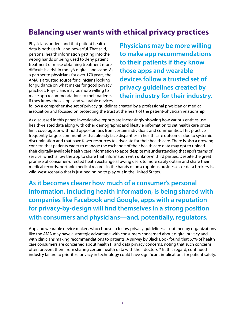## **Balancing user wants with ethical privacy practices**

Physicians understand that patient health data is both useful and powerful. That said, personal health information getting into the wrong hands or being used to deny patient treatment or make obtaining treatment more difficult is a risk in today's digital landscape. As a partner to physicians for over 170 years, the AMA is a trusted source for clinicians looking for guidance on what makes for good privacy practices. Physicians may be more willing to make app recommendations to their patients if they know those apps and wearable devices

**Physicians may be more willing to make app recommendations to their patients if they know those apps and wearable devices follow a trusted set of privacy guidelines created by their industry for their industry.**

follow a comprehensive set of privacy guidelines created by a professional physician or medical association and focused on protecting the trust at the heart of the patient-physician relationship.

As discussed in this paper, investigative reports are increasingly showing how various entities use health-related data along with other demographic and lifestyle information to set health care prices, limit coverage, or withhold opportunities from certain individuals and communities. This practice frequently targets communities that already face disparities in health care outcomes due to systemic discrimination and that have fewer resources to advocate for their health care. There is also a growing concern that patients eager to manage the exchange of their health care data may opt to upload their digitally available health care information to apps despite misunderstanding that app's terms of service, which allow the app to share that information with unknown third parties. Despite the great promise of consumer-directed heath exchange allowing users to more easily obtain and share their medical records, portable medical records in the hands of unscrupulous businesses or data brokers is a wild-west scenario that is just beginning to play out in the United States.

**As it becomes clearer how much of a consumer's personal information, including health information, is being shared with companies like Facebook and Google, apps with a reputation for privacy-by-design will find themselves in a strong position with consumers and physicians—and, potentially, regulators.**

App and wearable device makers who choose to follow privacy guidelines as outlined by organizations like the AMA may have a strategic advantage with consumers concerned about digital privacy and with clinicians making recommendations to patients. A survey by Black Book found that 57% of health care consumers are concerned about health IT and data privacy concerns, noting that such concerns often prevent them from sharing certain health data with their doctors.[15](#page-14-0) In this regard, continued industry failure to prioritize privacy in technology could have significant implications for patient safety.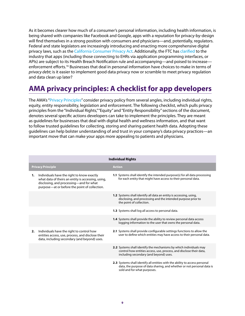As it becomes clearer how much of a consumer's personal information, including health information, is being shared with companies like Facebook and Google, apps with a reputation for privacy-by-design will find themselves in a strong position with consumers and physicians—and, potentially, regulators. Federal and state legislators are increasingly introducing and enacting more comprehensive digital privacy laws, such as the [California Consumer Privacy Act](https://oag.ca.gov/privacy/ccpa). Additionally, the FTC has [clarified](https://www.ftc.gov/system/files/documents/public_statements/1596364/statement_of_the_commission_on_breaches_by_health_apps_and_other_connected_devices.pdf) to the industry that apps (including those connecting to EHRs via application programming interfaces, or APIs) are subject to its Health Breach Notification rule and accompanying—and poised to increase enforcement efforts.<sup>16</sup> Businesses that deal in personal information have choices to make in terms of *privacy debt*; is it easier to implement good data privacy now or scramble to meet privacy regulation and data clean up later?

## **AMA privacy principles: A checklist for app developers**

The AMA's ["Privacy Principles](https://www.ama-assn.org/system/files/2020-05/privacy-principles.pdf)" consider privacy policy from several angles, including individual rights, equity, entity responsibility, legislation and enforcement. The following checklist, which pulls privacy principles from the "Individual Rights," "Equity" and "Entity Responsibility" sections of the document, denotes several specific actions developers can take to implement the principles. They are meant as guidelines for businesses that deal with digital health and wellness information, and that want to follow trusted guidelines for collecting, storing and sharing patient health data. Adopting these guidelines can help bolster understanding of and trust in your company's data privacy practices—an important move that can make your apps more appealing to patients and physicians.

| <b>Individual Rights</b>                                                                                                                                                                           |                                                                                                                                                                                      |
|----------------------------------------------------------------------------------------------------------------------------------------------------------------------------------------------------|--------------------------------------------------------------------------------------------------------------------------------------------------------------------------------------|
| <b>Privacy Principle</b>                                                                                                                                                                           | <b>Action</b>                                                                                                                                                                        |
| Individuals have the right to know exactly<br>1.<br>what data of theirs an entity is accessing, using,<br>disclosing, and processing—and for what<br>purpose-at or before the point of collection. | 1.1 Systems shall identify the intended purpose(s) for all data processing<br>for each entity that might have access to their personal data.                                         |
|                                                                                                                                                                                                    | <b>1.2</b> Systems shall identify all data an entity is accessing, using,<br>disclosing, and processing and the intended purpose prior to<br>the point of collection.                |
|                                                                                                                                                                                                    | 1.3 Systems shall log all access to personal data.                                                                                                                                   |
|                                                                                                                                                                                                    | 1.4 Systems shall provide the ability to review personal data access<br>logging information to the user that owns the personal data.                                                 |
| Individuals have the right to control how<br>2.<br>entities access, use, process, and disclose their<br>data, including secondary (and beyond) uses.                                               | 2.1 Systems shall provide configurable settings functions to allow the<br>user to define which entities may have access to their personal data.                                      |
|                                                                                                                                                                                                    | 2.2 Systems shall identify the mechanisms by which individuals may<br>control how entities access, use, process, and disclose their data,<br>including secondary (and beyond) uses.  |
|                                                                                                                                                                                                    | 2.3 Systems shall identify all entities with the ability to access personal<br>data, the purpose of data sharing, and whether or not personal data is<br>sold and for what purposes. |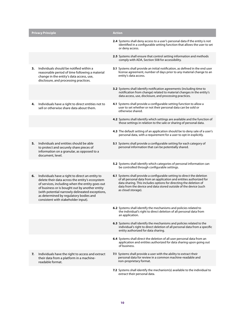|    | <b>Privacy Principle</b>                                                                                                                                                                                                                                                                                                                    | <b>Action</b>                                                                                                                                                                                                                                                                                                         |
|----|---------------------------------------------------------------------------------------------------------------------------------------------------------------------------------------------------------------------------------------------------------------------------------------------------------------------------------------------|-----------------------------------------------------------------------------------------------------------------------------------------------------------------------------------------------------------------------------------------------------------------------------------------------------------------------|
|    |                                                                                                                                                                                                                                                                                                                                             | 2.4 Systems shall deny access to a user's personal data if the entity is not<br>identified in a configurable setting function that allows the user to set<br>or deny access.                                                                                                                                          |
|    |                                                                                                                                                                                                                                                                                                                                             | 2.5 Systems shall ensure that control setting information and methods<br>comply with ADA, Section 508 for accessibility.                                                                                                                                                                                              |
| 3. | Individuals should be notified within a<br>reasonable period of time following a material<br>change in the entity's data access, use,<br>disclosure, and processing practices.                                                                                                                                                              | 3.1 Systems shall provide an initial notification, as defined in the end user<br>license agreement, number of days prior to any material change to an<br>entity's data access.                                                                                                                                        |
|    |                                                                                                                                                                                                                                                                                                                                             | 3.2 Systems shall identify notification agreements (including time to<br>notification from change) related to material changes in the entity's<br>data access, use, disclosure, and processing practices.                                                                                                             |
| 4. | Individuals have a right to direct entities not to<br>sell or otherwise share data about them.                                                                                                                                                                                                                                              | 4.1 Systems shall provide a configurable setting function to allow a<br>user to set whether or not their personal data can be sold or<br>otherwise shared.                                                                                                                                                            |
|    |                                                                                                                                                                                                                                                                                                                                             | 4.2 Systems shall identify which settings are available and the function of<br>those settings in relation to the sale or sharing of personal data.                                                                                                                                                                    |
|    |                                                                                                                                                                                                                                                                                                                                             | 4.3 The default setting of an application should be to deny sale of a user's<br>personal data, with a requirement for a user to opt-in explicitly.                                                                                                                                                                    |
| 5. | Individuals and entities should be able<br>to protect and securely share pieces of<br>information on a granular, as opposed to a<br>document, level.                                                                                                                                                                                        | 5.1 Systems shall provide a configurable setting for each category of<br>personal information that can be potentially shared.                                                                                                                                                                                         |
|    |                                                                                                                                                                                                                                                                                                                                             | 5.2 Systems shall identify which categories of personal information can<br>be controlled through configurable settings.                                                                                                                                                                                               |
| 6. | Individuals have a right to direct an entity to<br>delete their data across the entity's ecosystem<br>of services, including when the entity goes out<br>of business or is bought out by another entity<br>(with potential narrowly delineated exceptions,<br>as determined by regulatory bodies and<br>consistent with stakeholder input). | <b>6.1</b> Systems shall provide a configurable setting to direct the deletion<br>of all personal data from an application and entities authorized for<br>data sharing. This includes options for directing the deletion of<br>data from the device and data stored outside of the device (such<br>as cloud storage). |
|    |                                                                                                                                                                                                                                                                                                                                             | 6.2 Systems shall identify the mechanisms and policies related to<br>the individual's right to direct deletion of all personal data from<br>an application.                                                                                                                                                           |
|    |                                                                                                                                                                                                                                                                                                                                             | 6.3 Systems shall identify the mechanisms and policies related to the<br>individual's right to direct deletion of all personal data from a specific<br>entity authorized for data sharing.                                                                                                                            |
|    |                                                                                                                                                                                                                                                                                                                                             | 6.4 Systems shall direct the deletion of all user personal data from an<br>application and entities authorized for data sharing upon going out<br>of business.                                                                                                                                                        |
| 7. | Individuals have the right to access and extract<br>their data from a platform in a machine-<br>readable format.                                                                                                                                                                                                                            | 7.1 Systems shall provide a user with the ability to extract their<br>personal data for review in a common machine-readable and<br>non-proprietary format.                                                                                                                                                            |
|    |                                                                                                                                                                                                                                                                                                                                             | 7.2 Systems shall identify the mechanism(s) available to the individual to<br>extract their personal data.                                                                                                                                                                                                            |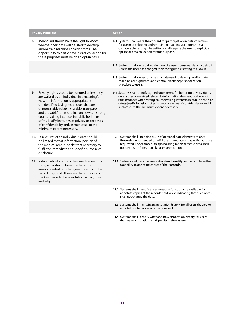| <b>Privacy Principle</b>                                                                                                                                                                                                                                                                                                                                                                                                                                                 | <b>Action</b>                                                                                                                                                                                                                                                                                                                                             |
|--------------------------------------------------------------------------------------------------------------------------------------------------------------------------------------------------------------------------------------------------------------------------------------------------------------------------------------------------------------------------------------------------------------------------------------------------------------------------|-----------------------------------------------------------------------------------------------------------------------------------------------------------------------------------------------------------------------------------------------------------------------------------------------------------------------------------------------------------|
| Individuals should have the right to know<br>8.<br>whether their data will be used to develop<br>and/or train machines or algorithms. The<br>opportunity to participate in data collection for<br>these purposes must be on an opt-in basis.                                                                                                                                                                                                                             | 8.1 Systems shall make the consent for participation in data collection<br>for use in developing and/or training machines or algorithms a<br>configurable setting. The settings shall require the user to explicitly<br>opt-in for data collection for this purpose.                                                                                      |
|                                                                                                                                                                                                                                                                                                                                                                                                                                                                          | 8.2 Systems shall deny data collection of a user's personal data by default<br>unless the user has changed their configurable setting to allow it.                                                                                                                                                                                                        |
|                                                                                                                                                                                                                                                                                                                                                                                                                                                                          | 8.3 Systems shall depersonalize any data used to develop and/or train<br>machines or algorithms and communicate depersonalization<br>practices to users.                                                                                                                                                                                                  |
| Privacy rights should be honored unless they<br>9.<br>are waived by an individual in a meaningful<br>way, the information is appropriately<br>de-identified (using techniques that are<br>demonstrably robust, scalable, transparent,<br>and provable), or in rare instances when strong<br>countervailing interests in public health or<br>safety justify invasions of privacy or breaches<br>of confidentiality and, in such case, to the<br>minimum extent necessary. | 9.1 Systems shall identify agreed upon terms for honoring privacy rights<br>unless they are waived related to information de-identification or in<br>rare instances when strong countervailing interests in public health or<br>safety justify invasions of privacy or breaches of confidentiality and, in<br>such case, to the minimum extent necessary. |
| <b>10.</b> Disclosures of an individual's data should<br>be limited to that information, portion of<br>the medical record, or abstract necessary to<br>fulfill the immediate and specific purpose of<br>disclosure.                                                                                                                                                                                                                                                      | 10.1 Systems shall limit disclosure of personal data elements to only<br>those elements needed to fulfill the immediate and specific purpose<br>requested. For example, an app housing medical record data shall<br>not disclose information like user geolocation.                                                                                       |
| 11. Individuals who access their medical records<br>using apps should have mechanisms to<br>annotate-but not change-the copy of the<br>record they hold. These mechanisms should<br>track who made the annotation, when, how,<br>and why.                                                                                                                                                                                                                                | 11.1 Systems shall provide annotation functionality for users to have the<br>capability to annotate copies of their records.                                                                                                                                                                                                                              |
|                                                                                                                                                                                                                                                                                                                                                                                                                                                                          | 11.2 Systems shall identify the annotation functionality available for<br>annotate copies of the records held while indicating that such notes<br>shall not change the data.                                                                                                                                                                              |
|                                                                                                                                                                                                                                                                                                                                                                                                                                                                          | 11.3 Systems shall maintain an annotation history for all users that make<br>annotations to copies of a user's record.                                                                                                                                                                                                                                    |

**11.4** Systems shall identify what and how annotation history for users that make annotations shall persist in the system.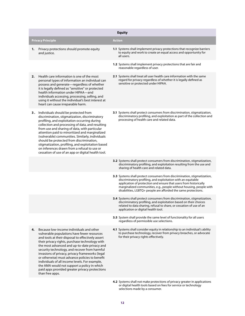|    |                                                                                                                                                                                                                                                                                                                                                                                                                                                                                                                                                                            | <b>Equity</b>                                                                                                                                                                                                                                                                                                                                          |
|----|----------------------------------------------------------------------------------------------------------------------------------------------------------------------------------------------------------------------------------------------------------------------------------------------------------------------------------------------------------------------------------------------------------------------------------------------------------------------------------------------------------------------------------------------------------------------------|--------------------------------------------------------------------------------------------------------------------------------------------------------------------------------------------------------------------------------------------------------------------------------------------------------------------------------------------------------|
|    | <b>Privacy Principle</b>                                                                                                                                                                                                                                                                                                                                                                                                                                                                                                                                                   | <b>Action</b>                                                                                                                                                                                                                                                                                                                                          |
| 1. | Privacy protections should promote equity<br>and justice.                                                                                                                                                                                                                                                                                                                                                                                                                                                                                                                  | 1.1 Systems shall implement privacy protections that recognize barriers<br>to equity and work to create an equal access and opportunity for<br>all users.                                                                                                                                                                                              |
|    |                                                                                                                                                                                                                                                                                                                                                                                                                                                                                                                                                                            | 1.2 Systems shall implement privacy protections that are fair and<br>reasonable regardless of user.                                                                                                                                                                                                                                                    |
| 2. | Health care information is one of the most<br>personal types of information an individual can<br>possess and generate-regardless of whether<br>it is legally defined as "sensitive" or protected<br>health information under HIPAA-and<br>individuals accessing, processing, selling, and<br>using it without the individual's best interest at<br>heart can cause irreparable harm.                                                                                                                                                                                       | 2.1 Systems shall treat all user health care information with the same<br>regard for privacy regardless of whether it is legally defined as<br>sensitive or protected under HIPAA.                                                                                                                                                                     |
| з. | Individuals should be protected from<br>discrimination, stigmatization, discriminatory<br>profiling, and exploitation occurring during<br>collection and processing of data, and resulting<br>from use and sharing of data, with particular<br>attention paid to minoritized and marginalized<br>(vulnerable) communities. Similarly, individuals<br>should be protected from discrimination,<br>stigmatization, profiling, and exploitation based<br>on inferences drawn from a refusal to use or<br>cessation of use of an app or digital health tool.                   | 3.1 Systems shall protect consumers from discrimination, stigmatization,<br>discriminatory profiling, and exploitation as part of the collection and<br>processing of health care and related data.                                                                                                                                                    |
|    |                                                                                                                                                                                                                                                                                                                                                                                                                                                                                                                                                                            | 3.2 Systems shall protect consumers from discrimination, stigmatization,<br>discriminatory profiling, and exploitation resulting from the use and<br>sharing of health care and related data.                                                                                                                                                          |
|    |                                                                                                                                                                                                                                                                                                                                                                                                                                                                                                                                                                            | 3.3 Systems shall protect consumers from discrimination, stigmatization,<br>discriminatory profiling, and exploitation with an equitable<br>application of protection and ensure that users from historically<br>marginalized communities, e.g., people without housing, people with<br>disabilities, LGBTQ+ people are afforded the same protections. |
|    |                                                                                                                                                                                                                                                                                                                                                                                                                                                                                                                                                                            | 3.4 Systems shall protect consumers from discrimination, stigmatization,<br>discriminatory profiling, and exploitation based on their choices<br>related to data sharing, refusal to share, or cessation of use of an<br>application or digital health tool.                                                                                           |
|    |                                                                                                                                                                                                                                                                                                                                                                                                                                                                                                                                                                            | 3.5 System shall provide the same level of functionality for all users<br>regardless of permissible use selections.                                                                                                                                                                                                                                    |
| 4. | Because low-income individuals and other<br>vulnerable populations have fewer resources<br>and tools at their disposal to effectively assert<br>their privacy rights, purchase technology with<br>the most advanced and up-to-date privacy and<br>security technology, and recover from harmful<br>invasions of privacy, privacy frameworks (legal<br>or otherwise) must advance policies to benefit<br>individuals of all income levels. For example,<br>the AMA would not support a policy in which<br>paid apps provided greater privacy protections<br>than free apps. | 4.1 Systems shall consider equity in relationship to an individual's ability<br>to purchase technology, recover from privacy breaches, or advocate<br>for their privacy rights effectively.                                                                                                                                                            |
|    |                                                                                                                                                                                                                                                                                                                                                                                                                                                                                                                                                                            | 4.2 Systems shall not make protections of privacy greater in applications                                                                                                                                                                                                                                                                              |

or digital health tools based on fees for service or technology

selections made by a consumer.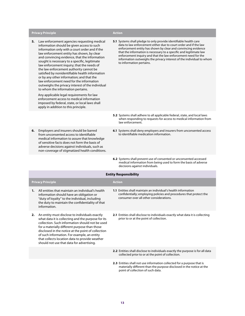#### **Privacy Principle Action**

**5.** Law enforcement agencies requesting medical information should be given access to such information only with a court order and if the law enforcement entity has shown, by clear and convincing evidence, that the information sought is necessary to a specific, legitimate law enforcement inquiry; that the needs of the law enforcement authority cannot be satisfied by nonidentifiable health information or by any other information; and that the law enforcement need for the information outweighs the privacy interest of the individual to whom the information pertains.

 Any applicable legal requirements for law enforcement access to medical information imposed by federal, state, or local laws shall apply in addition to this principle.

**6.** Employers and insurers should be barred from unconsented access to identifiable medical information to assure that knowledge of sensitive facts does not form the basis of adverse decisions against individuals, such as non-coverage of stigmatized health conditions.

- 
- **5.1** Systems shall pledge to only provide identifiable health care data to law enforcement either due to court order and if the law enforcement entity has shown by clear and convincing evidence that the information is necessary to a specific and legitimate law enforcement inquiry and that the law enforcement need for the information outweighs the privacy interest of the individual to whom to information pertains.

- **5.2** Systems shall adhere to all applicable federal, state, and local laws when responding to requests for access to medical information from law enforcement.
- **6.1** Systems shall deny employers and insurers from unconsented access to identifiable medication information.
- **6.2** Systems shall prevent use of consented or unconsented accessed medical information from being used to form the basis of adverse decisions against individuals.

| <b>Entity Responsibility</b>                                                                                                                                                                                                                                                                                                                                                                                       |                                                                                                                                                                                        |  |
|--------------------------------------------------------------------------------------------------------------------------------------------------------------------------------------------------------------------------------------------------------------------------------------------------------------------------------------------------------------------------------------------------------------------|----------------------------------------------------------------------------------------------------------------------------------------------------------------------------------------|--|
| <b>Privacy Principle</b>                                                                                                                                                                                                                                                                                                                                                                                           | <b>Action</b>                                                                                                                                                                          |  |
| All entities that maintain an individual's health<br>1.<br>information should have an obligation or<br>"duty of loyalty" to the individual, including<br>the duty to maintain the confidentiality of that<br>information.                                                                                                                                                                                          | <b>1.1</b> Entities shall maintain an individual's health information<br>confidentially; employing policies and procedures that protect the<br>consumer over all other considerations. |  |
| An entity must disclose to individuals exactly<br>2.<br>what data it is collecting and the purpose for its<br>collection. Such information should not be used<br>for a materially different purpose than those<br>disclosed in the notice at the point of collection<br>of such information. For example, an entity<br>that collects location data to provide weather<br>should not use that data for advertising. | <b>2.1</b> Entities shall disclose to individuals exactly what data it is collecting<br>prior to or at the point of collection.                                                        |  |
|                                                                                                                                                                                                                                                                                                                                                                                                                    | <b>2.2</b> Entities shall disclose to individuals exactly the purpose is for all data<br>collected prior to or at the point of collection.                                             |  |
|                                                                                                                                                                                                                                                                                                                                                                                                                    |                                                                                                                                                                                        |  |

**2.3** Entities shall not use information collected for a purpose that is materially different than the purpose disclosed in the notice at the point of collection of such data.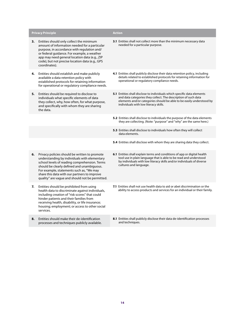|    | <b>Privacy Principle</b>                                                                                                                                                                                                                                                                                                                    | <b>Action</b>                                                                                                                                                                                                                                              |
|----|---------------------------------------------------------------------------------------------------------------------------------------------------------------------------------------------------------------------------------------------------------------------------------------------------------------------------------------------|------------------------------------------------------------------------------------------------------------------------------------------------------------------------------------------------------------------------------------------------------------|
| 3. | Entities should only collect the minimum<br>amount of information needed for a particular<br>purpose, in accordance with regulation and/<br>or federal guidance. For example, a weather<br>app may need general location data (e.g., ZIP<br>code), but not precise location data (e.g., GPS<br>coordinates).                                | 3.1 Entities shall not collect more than the minimum necessary data<br>needed for a particular purpose.                                                                                                                                                    |
| 4. | Entities should establish and make publicly<br>available a data retention policy with<br>established protocols for retaining information<br>for operational or regulatory compliance needs.                                                                                                                                                 | 4.1 Entities shall publicly disclose their data retention policy, including<br>details related to established protocols for retaining information for<br>operational or regulatory compliance needs.                                                       |
| 5. | Entities should be required to disclose to<br>individuals what specific elements of data<br>they collect, why, how often, for what purpose,<br>and specifically with whom they are sharing<br>the data.                                                                                                                                     | 5.1 Entities shall disclose to individuals which specific data elements<br>and data categories they collect. The description of such data<br>elements and/or categories should be able to be easily understood by<br>individuals with low literacy skills. |
|    |                                                                                                                                                                                                                                                                                                                                             | 5.2 Entities shall disclose to individuals the purpose of the data elements<br>they are collecting. (Note: "purpose" and "why" are the same here.)                                                                                                         |
|    |                                                                                                                                                                                                                                                                                                                                             | 5.3 Entities shall disclose to individuals how often they will collect<br>data elements.                                                                                                                                                                   |
|    |                                                                                                                                                                                                                                                                                                                                             | 5.4 Entities shall disclose with whom they are sharing data they collect.                                                                                                                                                                                  |
| 6. | Privacy policies should be written to promote<br>understanding by individuals with elementary<br>school levels of reading comprehension. Terms<br>should be clearly defined and unambiguous.<br>For example, statements such as, "We may<br>share this data with our partners to improve<br>quality" are vague and should not be permitted. | 6.1 Entities shall explain terms and conditions of app or digital health<br>tool use in plain language that is able to be read and understood<br>by individuals with low literacy skills and/or individuals of diverse<br>cultures and language.           |
| 7. | Entities should be prohibited from using<br>health data to discriminate against individuals,<br>including creation of "risk scores" that could<br>hinder patients and their families from<br>receiving health, disability, or life insurance;<br>housing; employment; or access to other social<br>services.                                | 7.1 Entities shall not use health data to aid or abet discrimination or the<br>ability to access products and services for an individual or their family.                                                                                                  |
| 8. | Entities should make their de-identification<br>processes and techniques publicly available.                                                                                                                                                                                                                                                | 8.1 Entities shall publicly disclose their data de-identification processes<br>and techniques.                                                                                                                                                             |